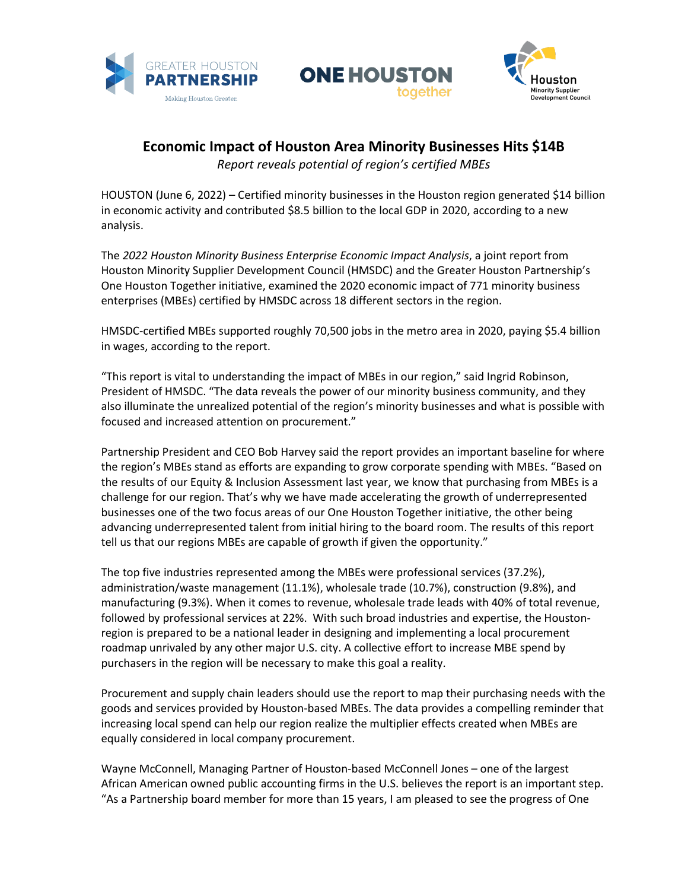





## **Economic Impact of Houston Area Minority Businesses Hits \$14B**

*Report reveals potential of region's certified MBEs*

HOUSTON (June 6, 2022) – Certified minority businesses in the Houston region generated \$14 billion in economic activity and contributed \$8.5 billion to the local GDP in 2020, according to a new analysis.

The *2022 Houston Minority Business Enterprise Economic Impact Analysis*, a joint report from Houston Minority Supplier Development Council (HMSDC) and the Greater Houston Partnership's One Houston Together initiative, examined the 2020 economic impact of 771 minority business enterprises (MBEs) certified by HMSDC across 18 different sectors in the region.

HMSDC-certified MBEs supported roughly 70,500 jobs in the metro area in 2020, paying \$5.4 billion in wages, according to the report.

"This report is vital to understanding the impact of MBEs in our region," said Ingrid Robinson, President of HMSDC. "The data reveals the power of our minority business community, and they also illuminate the unrealized potential of the region's minority businesses and what is possible with focused and increased attention on procurement."

Partnership President and CEO Bob Harvey said the report provides an important baseline for where the region's MBEs stand as efforts are expanding to grow corporate spending with MBEs. "Based on the results of our Equity & Inclusion Assessment last year, we know that purchasing from MBEs is a challenge for our region. That's why we have made accelerating the growth of underrepresented businesses one of the two focus areas of our One Houston Together initiative, the other being advancing underrepresented talent from initial hiring to the board room. The results of this report tell us that our regions MBEs are capable of growth if given the opportunity."

The top five industries represented among the MBEs were professional services (37.2%), administration/waste management (11.1%), wholesale trade (10.7%), construction (9.8%), and manufacturing (9.3%). When it comes to revenue, wholesale trade leads with 40% of total revenue, followed by professional services at 22%. With such broad industries and expertise, the Houstonregion is prepared to be a national leader in designing and implementing a local procurement roadmap unrivaled by any other major U.S. city. A collective effort to increase MBE spend by purchasers in the region will be necessary to make this goal a reality.

Procurement and supply chain leaders should use the report to map their purchasing needs with the goods and services provided by Houston-based MBEs. The data provides a compelling reminder that increasing local spend can help our region realize the multiplier effects created when MBEs are equally considered in local company procurement.

Wayne McConnell, Managing Partner of Houston-based McConnell Jones – one of the largest African American owned public accounting firms in the U.S. believes the report is an important step. "As a Partnership board member for more than 15 years, I am pleased to see the progress of One